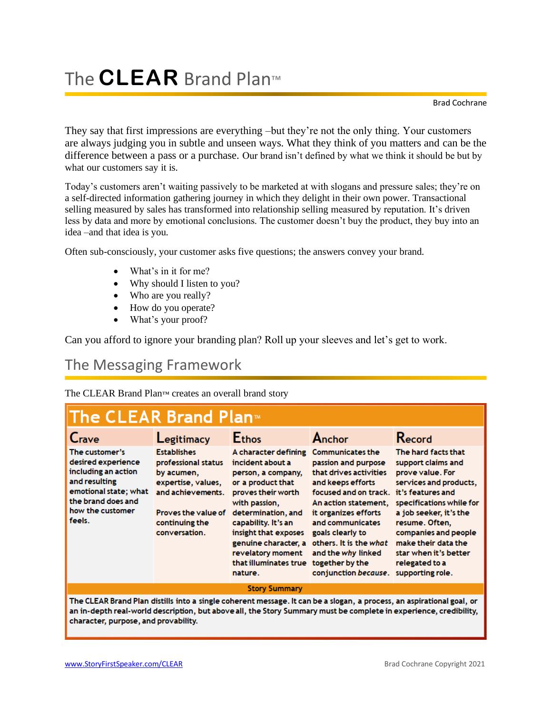# The **CLEAR** Brand Plan™

Brad Cochrane

They say that first impressions are everything –but they're not the only thing. Your customers are always judging you in subtle and unseen ways. What they think of you matters and can be the difference between a pass or a purchase. Our brand isn't defined by what we think it should be but by what our customers say it is.

Today's customers aren't waiting passively to be marketed at with slogans and pressure sales; they're on a self-directed information gathering journey in which they delight in their own power. Transactional selling measured by sales has transformed into relationship selling measured by reputation. It's driven less by data and more by emotional conclusions. The customer doesn't buy the product, they buy into an idea –and that idea is you.

Often sub-consciously, your customer asks five questions; the answers convey your brand.

- What's in it for me?
- Why should I listen to you?
- Who are you really?
- How do you operate?
- What's your proof?

Can you afford to ignore your branding plan? Roll up your sleeves and let's get to work.

#### The Messaging Framework

The CLEAR Brand Plan™ creates an overall brand story

| The CLEAR Brand Plan™                                                                                                                                     |                                                                                                                                                              |                                                                                                                                                                                                                                                                                  |                                                                                                                                                                                                                                                                                                           |                                                                                                                                                                                                                                                                                                    |
|-----------------------------------------------------------------------------------------------------------------------------------------------------------|--------------------------------------------------------------------------------------------------------------------------------------------------------------|----------------------------------------------------------------------------------------------------------------------------------------------------------------------------------------------------------------------------------------------------------------------------------|-----------------------------------------------------------------------------------------------------------------------------------------------------------------------------------------------------------------------------------------------------------------------------------------------------------|----------------------------------------------------------------------------------------------------------------------------------------------------------------------------------------------------------------------------------------------------------------------------------------------------|
| Crave                                                                                                                                                     | Legitimacy                                                                                                                                                   | <b>Ethos</b>                                                                                                                                                                                                                                                                     | Anchor                                                                                                                                                                                                                                                                                                    | Record                                                                                                                                                                                                                                                                                             |
| The customer's<br>desired experience<br>including an action<br>and resulting<br>emotional state; what<br>the brand does and<br>how the customer<br>feels. | <b>Establishes</b><br>professional status<br>by acumen,<br>expertise, values,<br>and achievements.<br>Proves the value of<br>continuing the<br>conversation. | A character defining<br>incident about a<br>person, a company,<br>or a product that<br>proves their worth<br>with passion,<br>determination, and<br>capability. It's an<br>insight that exposes<br>genuine character, a<br>revelatory moment<br>that illuminates true<br>nature. | <b>Communicates the</b><br>passion and purpose<br>that drives activities<br>and keeps efforts<br>focused and on track.<br>An action statement.<br>it organizes efforts<br>and communicates<br>goals clearly to<br>others. It is the what<br>and the why linked<br>together by the<br>conjunction because. | The hard facts that<br>support claims and<br>prove value. For<br>services and products,<br>it's features and<br>specifications while for<br>a job seeker, it's the<br>resume. Often,<br>companies and people<br>make their data the<br>star when it's better<br>relegated to a<br>supporting role. |
| <b>Story Summary</b>                                                                                                                                      |                                                                                                                                                              |                                                                                                                                                                                                                                                                                  |                                                                                                                                                                                                                                                                                                           |                                                                                                                                                                                                                                                                                                    |

The CLEAR Brand Plan distills into a single coherent message. It can be a slogan, a process, an aspirational goal, or an in-depth real-world description, but above all, the Story Summary must be complete in experience, credibility, character, purpose, and provability.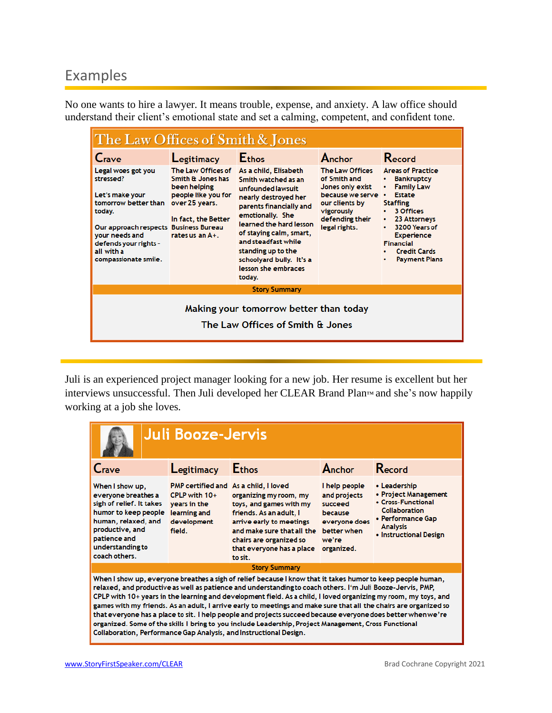### Examples

No one wants to hire a lawyer. It means trouble, expense, and anxiety. A law office should understand their client's emotional state and set a calming, competent, and confident tone.

| The Law Offices of Smith & Jones                                                                                                                                                                               |                                                                                                                                            |                                                                                                                                                                                                                                                                                                          |                                                                                                                                               |                                                                                                                                                                                                                                                                  |
|----------------------------------------------------------------------------------------------------------------------------------------------------------------------------------------------------------------|--------------------------------------------------------------------------------------------------------------------------------------------|----------------------------------------------------------------------------------------------------------------------------------------------------------------------------------------------------------------------------------------------------------------------------------------------------------|-----------------------------------------------------------------------------------------------------------------------------------------------|------------------------------------------------------------------------------------------------------------------------------------------------------------------------------------------------------------------------------------------------------------------|
| Crave                                                                                                                                                                                                          | Legitimacy                                                                                                                                 | <b>Ethos</b>                                                                                                                                                                                                                                                                                             | Anchor                                                                                                                                        | Record                                                                                                                                                                                                                                                           |
| Legal woes got you<br>stressed?<br>Let's make your<br>tomorrow better than<br>today.<br>Our approach respects Business Bureau<br>vour needs and<br>defends your rights -<br>all with a<br>compassionate smile. | The Law Offices of<br>Smith & Jones has<br>been helping<br>people like you for<br>over 25 years.<br>In fact, the Better<br>rates us an A+. | As a child, Elisabeth<br>Smith watched as an<br>unfounded lawsuit<br>nearly destroyed her<br>parents financially and<br>emotionally. She<br>learned the hard lesson<br>of staying calm, smart,<br>and steadfast while<br>standing up to the<br>schoolyard bully. It's a<br>lesson she embraces<br>today. | The Law Offices<br>of Smith and<br>Jones only exist<br>because we serve •<br>our clients by<br>vigorously<br>defending their<br>legal rights. | <b>Areas of Practice</b><br><b>Bankruptcy</b><br>٠<br><b>Family Law</b><br><b>Estate</b><br><b>Staffing</b><br>3 Offices<br>23 Attorneys<br>٠<br>3200 Years of<br>٠<br><b>Experience</b><br><b>Financial</b><br><b>Credit Cards</b><br><b>Payment Plans</b><br>٠ |
|                                                                                                                                                                                                                |                                                                                                                                            | <b>Story Summary</b>                                                                                                                                                                                                                                                                                     |                                                                                                                                               |                                                                                                                                                                                                                                                                  |
| Making your tomorrow better than today<br>The Law Offices of Smith & Jones                                                                                                                                     |                                                                                                                                            |                                                                                                                                                                                                                                                                                                          |                                                                                                                                               |                                                                                                                                                                                                                                                                  |

Juli is an experienced project manager looking for a new job. Her resume is excellent but her interviews unsuccessful. Then Juli developed her CLEAR Brand Plan™ and she's now happily working at a job she loves.

| <b>Juli Booze-Jervis</b>                                                                                                                                                                                                                                                                                                                                                                                                                                                                                                                                                                                                                                                                                                                                         |                                                                          |                                                                                                                                                                                                                                                    |                                                                                                            |                                                                                                                                                      |
|------------------------------------------------------------------------------------------------------------------------------------------------------------------------------------------------------------------------------------------------------------------------------------------------------------------------------------------------------------------------------------------------------------------------------------------------------------------------------------------------------------------------------------------------------------------------------------------------------------------------------------------------------------------------------------------------------------------------------------------------------------------|--------------------------------------------------------------------------|----------------------------------------------------------------------------------------------------------------------------------------------------------------------------------------------------------------------------------------------------|------------------------------------------------------------------------------------------------------------|------------------------------------------------------------------------------------------------------------------------------------------------------|
| Crave                                                                                                                                                                                                                                                                                                                                                                                                                                                                                                                                                                                                                                                                                                                                                            | Legitimacy                                                               | <b>Ethos</b>                                                                                                                                                                                                                                       | Anchor                                                                                                     | Record                                                                                                                                               |
| When I show up,<br>everyone breathes a<br>sigh of relief. It takes<br>humor to keep people<br>human, relaxed, and<br>productive, and<br>patience and<br>understanding to<br>coach others.                                                                                                                                                                                                                                                                                                                                                                                                                                                                                                                                                                        | CPLP with $10+$<br>years in the<br>learning and<br>development<br>field. | PMP certified and As a child, I loved<br>organizing my room, my<br>toys, and games with my<br>friends. As an adult, I<br>arrive early to meetings<br>and make sure that all the<br>chairs are organized so<br>that everyone has a place<br>to sit. | I help people<br>and projects<br>succeed<br>because<br>everyone does<br>better when<br>we're<br>organized. | • Leadership<br>• Project Management<br>• Cross-Functional<br><b>Collaboration</b><br>• Performance Gap<br><b>Analysis</b><br>• Instructional Design |
|                                                                                                                                                                                                                                                                                                                                                                                                                                                                                                                                                                                                                                                                                                                                                                  |                                                                          | <b>Story Summary</b>                                                                                                                                                                                                                               |                                                                                                            |                                                                                                                                                      |
| When I show up, everyone breathes a sigh of relief because I know that it takes humor to keep people human,<br>relaxed, and productive as well as patience and understanding to coach others. I'm Juli Booze-Jervis, PMP,<br>CPLP with 10+ years in the learning and development field. As a child, I loved organizing my room, my toys, and<br>games with my friends. As an adult, I arrive early to meetings and make sure that all the chairs are organized so<br>that everyone has a place to sit. I help people and projects succeed because everyone does better when we're<br>organized. Some of the skills I bring to you include Leadership, Project Management, Cross Functional<br>Collaboration, Performance Gap Analysis, and Instructional Design. |                                                                          |                                                                                                                                                                                                                                                    |                                                                                                            |                                                                                                                                                      |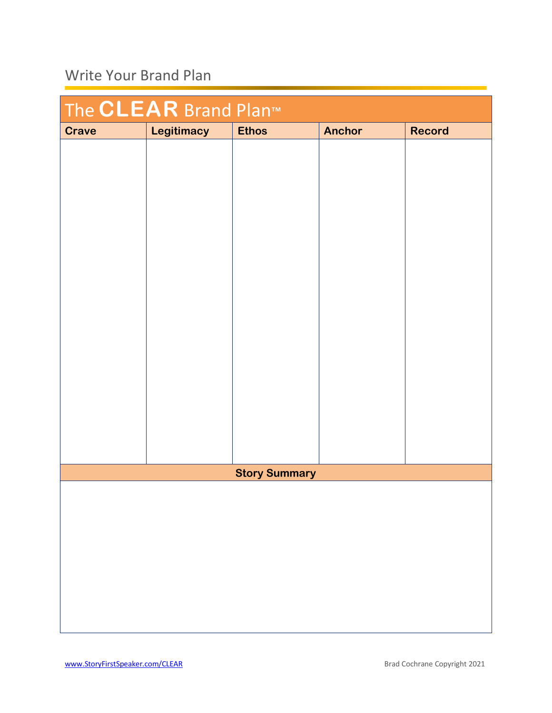## Write Your Brand Plan

| The <b>CLEAR</b> Brand Plan <sup>™</sup> |            |                      |               |               |
|------------------------------------------|------------|----------------------|---------------|---------------|
| <b>Crave</b>                             | Legitimacy | <b>Ethos</b>         | <b>Anchor</b> | <b>Record</b> |
|                                          |            |                      |               |               |
|                                          |            |                      |               |               |
|                                          |            |                      |               |               |
|                                          |            |                      |               |               |
|                                          |            |                      |               |               |
|                                          |            |                      |               |               |
|                                          |            |                      |               |               |
|                                          |            |                      |               |               |
|                                          |            |                      |               |               |
|                                          |            |                      |               |               |
|                                          |            |                      |               |               |
|                                          |            |                      |               |               |
|                                          |            |                      |               |               |
|                                          |            |                      |               |               |
|                                          |            |                      |               |               |
|                                          |            |                      |               |               |
|                                          |            |                      |               |               |
|                                          |            |                      |               |               |
|                                          |            | <b>Story Summary</b> |               |               |
|                                          |            |                      |               |               |
|                                          |            |                      |               |               |
|                                          |            |                      |               |               |
|                                          |            |                      |               |               |
|                                          |            |                      |               |               |
|                                          |            |                      |               |               |
|                                          |            |                      |               |               |
|                                          |            |                      |               |               |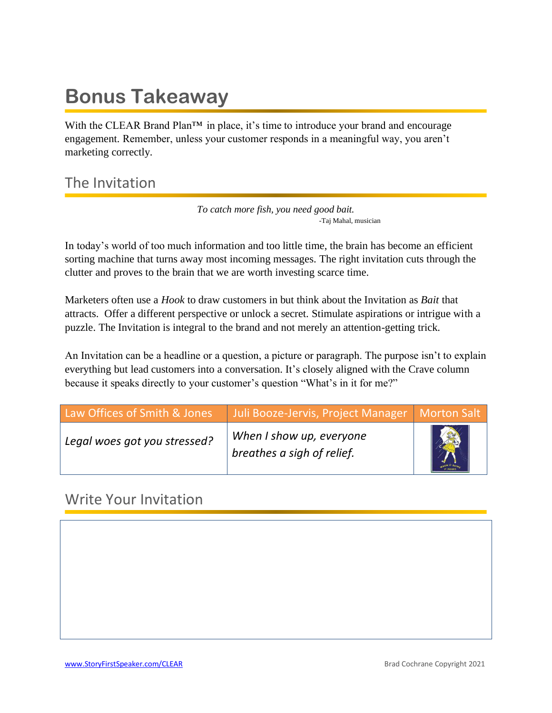# **Bonus Takeaway**

With the CLEAR Brand Plan<sup> $TM$ </sup> in place, it's time to introduce your brand and encourage engagement. Remember, unless your customer responds in a meaningful way, you aren't marketing correctly.

### The Invitation

*To catch more fish, you need good bait.* -Taj Mahal, musician

In today's world of too much information and too little time, the brain has become an efficient sorting machine that turns away most incoming messages. The right invitation cuts through the clutter and proves to the brain that we are worth investing scarce time.

Marketers often use a *Hook* to draw customers in but think about the Invitation as *Bait* that attracts. Offer a different perspective or unlock a secret. Stimulate aspirations or intrigue with a puzzle. The Invitation is integral to the brand and not merely an attention-getting trick.

An Invitation can be a headline or a question, a picture or paragraph. The purpose isn't to explain everything but lead customers into a conversation. It's closely aligned with the Crave column because it speaks directly to your customer's question "What's in it for me?"

| Law Offices of Smith & Jones | Juli Booze-Jervis, Project Manager   Morton Salt       |  |
|------------------------------|--------------------------------------------------------|--|
| Legal woes got you stressed? | When I show up, everyone<br>breathes a sigh of relief. |  |

#### Write Your Invitation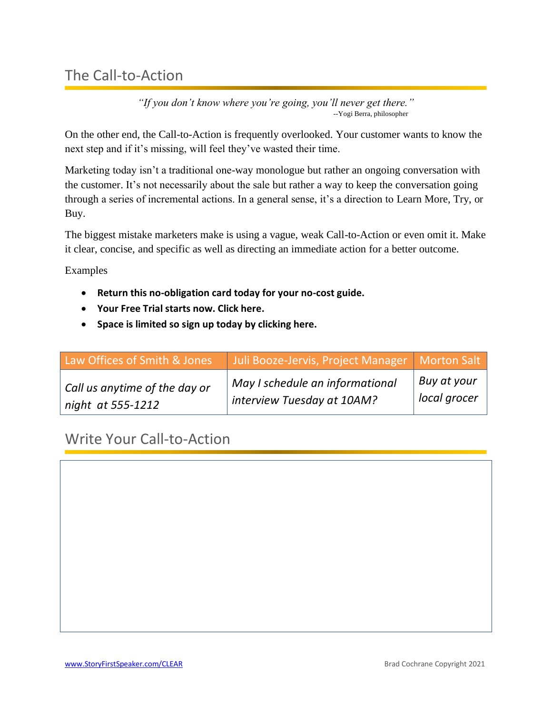#### The Call-to-Action

*"If you don't know where you're going, you'll never get there."* --Yogi Berra, philosopher

On the other end, the Call-to-Action is frequently overlooked. Your customer wants to know the next step and if it's missing, will feel they've wasted their time.

Marketing today isn't a traditional one-way monologue but rather an ongoing conversation with the customer. It's not necessarily about the sale but rather a way to keep the conversation going through a series of incremental actions. In a general sense, it's a direction to Learn More, Try, or Buy.

The biggest mistake marketers make is using a vague, weak Call-to-Action or even omit it. Make it clear, concise, and specific as well as directing an immediate action for a better outcome.

Examples

- **Return this no-obligation card today for your no-cost guide.**
- **Your Free Trial starts now. Click here.**
- **Space is limited so sign up today by clicking here.**

| Law Offices of Smith & Jones  | Juli Booze-Jervis, Project Manager   Morton Salt |              |
|-------------------------------|--------------------------------------------------|--------------|
| Call us anytime of the day or | May I schedule an informational                  | Buy at your  |
| night at 555-1212             | interview Tuesday at 10AM?                       | local grocer |

Write Your Call-to-Action